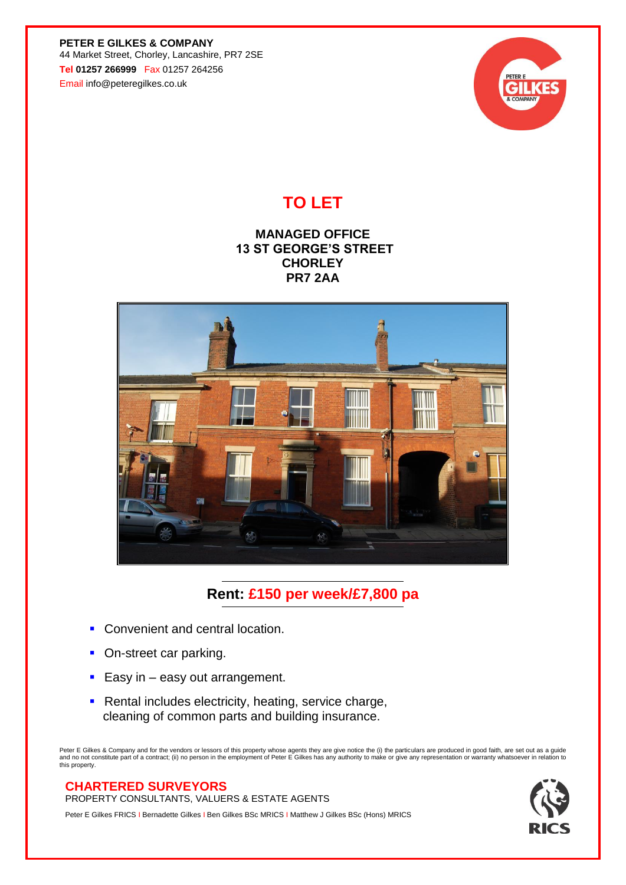**PETER E GILKES & COMPANY** 44 Market Street, Chorley, Lancashire, PR7 2SE **Tel 01257 266999** Fax 01257 264256 Email info@peteregilkes.co.uk



## **TO LET**

## **MANAGED OFFICE 13 ST GEORGE'S STREET CHORLEY PR7 2AA**



## **Rent: £150 per week/£7,800 pa**

- Convenient and central location.
- On-street car parking.
- Easy in  $-$  easy out arrangement.
- **EXECTE Rental includes electricity, heating, service charge,** cleaning of common parts and building insurance.

Peter E Gilkes & Company and for the vendors or lessors of this property whose agents they are give notice the (i) the particulars are produced in good faith, are set out as a guide<br>and no not constitute part of a contract

## **CHARTERED SURVEYORS**

PROPERTY CONSULTANTS, VALUERS & ESTATE AGENTS

Peter E Gilkes FRICS I Bernadette Gilkes I Ben Gilkes BSc MRICS I Matthew J Gilkes BSc (Hons) MRICS